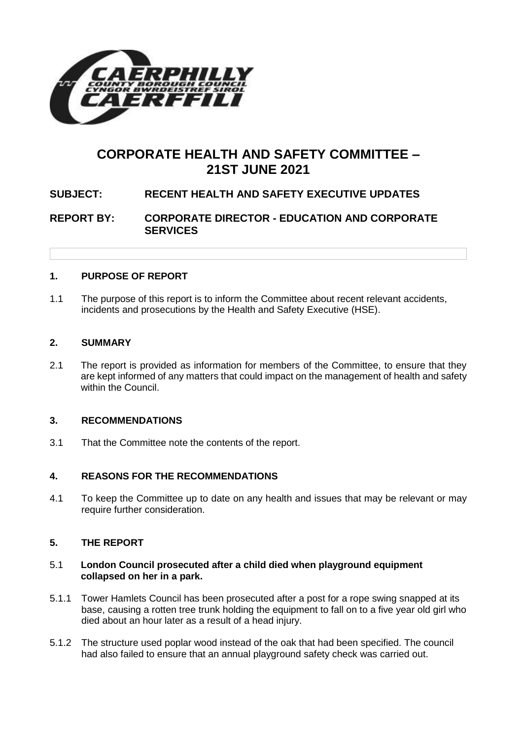

# **CORPORATE HEALTH AND SAFETY COMMITTEE – 21ST JUNE 2021**

## **SUBJECT: RECENT HEALTH AND SAFETY EXECUTIVE UPDATES**

**REPORT BY: CORPORATE DIRECTOR - EDUCATION AND CORPORATE SERVICES**

#### **1. PURPOSE OF REPORT**

1.1 The purpose of this report is to inform the Committee about recent relevant accidents, incidents and prosecutions by the Health and Safety Executive (HSE).

#### **2. SUMMARY**

2.1 The report is provided as information for members of the Committee, to ensure that they are kept informed of any matters that could impact on the management of health and safety within the Council.

#### **3. RECOMMENDATIONS**

3.1 That the Committee note the contents of the report.

#### **4. REASONS FOR THE RECOMMENDATIONS**

4.1 To keep the Committee up to date on any health and issues that may be relevant or may require further consideration.

#### **5. THE REPORT**

#### 5.1 **London Council prosecuted after a child died when playground equipment collapsed on her in a park.**

- 5.1.1 Tower Hamlets Council has been prosecuted after a post for a rope swing snapped at its base, causing a rotten tree trunk holding the equipment to fall on to a five year old girl who died about an hour later as a result of a head injury.
- 5.1.2 The structure used poplar wood instead of the oak that had been specified. The council had also failed to ensure that an annual playground safety check was carried out.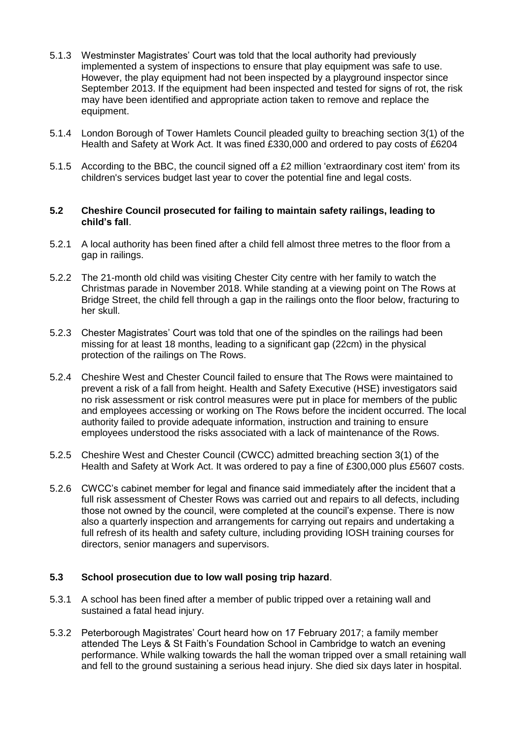- 5.1.3 Westminster Magistrates' Court was told that the local authority had previously implemented a system of inspections to ensure that play equipment was safe to use. However, the play equipment had not been inspected by a playground inspector since September 2013. If the equipment had been inspected and tested for signs of rot, the risk may have been identified and appropriate action taken to remove and replace the equipment.
- 5.1.4 London Borough of Tower Hamlets Council pleaded guilty to breaching section 3(1) of the Health and Safety at Work Act. It was fined £330,000 and ordered to pay costs of £6204
- 5.1.5 According to the BBC, the council signed off a £2 million 'extraordinary cost item' from its children's services budget last year to cover the potential fine and legal costs.

#### **5.2 Cheshire Council prosecuted for failing to maintain safety railings, leading to child's fall**.

- 5.2.1 A local authority has been fined after a child fell almost three metres to the floor from a gap in railings.
- 5.2.2 The 21-month old child was visiting Chester City centre with her family to watch the Christmas parade in November 2018. While standing at a viewing point on The Rows at Bridge Street, the child fell through a gap in the railings onto the floor below, fracturing to her skull.
- 5.2.3 Chester Magistrates' Court was told that one of the spindles on the railings had been missing for at least 18 months, leading to a significant gap (22cm) in the physical protection of the railings on The Rows.
- 5.2.4 Cheshire West and Chester Council failed to ensure that The Rows were maintained to prevent a risk of a fall from height. Health and Safety Executive (HSE) investigators said no risk assessment or risk control measures were put in place for members of the public and employees accessing or working on The Rows before the incident occurred. The local authority failed to provide adequate information, instruction and training to ensure employees understood the risks associated with a lack of maintenance of the Rows.
- 5.2.5 Cheshire West and Chester Council (CWCC) admitted breaching section 3(1) of the Health and Safety at Work Act. It was ordered to pay a fine of £300,000 plus £5607 costs.
- 5.2.6 CWCC's cabinet member for legal and finance said immediately after the incident that a full risk assessment of Chester Rows was carried out and repairs to all defects, including those not owned by the council, were completed at the council's expense. There is now also a quarterly inspection and arrangements for carrying out repairs and undertaking a full refresh of its health and safety culture, including providing IOSH training courses for directors, senior managers and supervisors.

#### **5.3 School prosecution due to low wall posing trip hazard**.

- 5.3.1 A school has been fined after a member of public tripped over a retaining wall and sustained a fatal head injury.
- 5.3.2 Peterborough Magistrates' Court heard how on 17 February 2017; a family member attended The Leys & St Faith's Foundation School in Cambridge to watch an evening performance. While walking towards the hall the woman tripped over a small retaining wall and fell to the ground sustaining a serious head injury. She died six days later in hospital.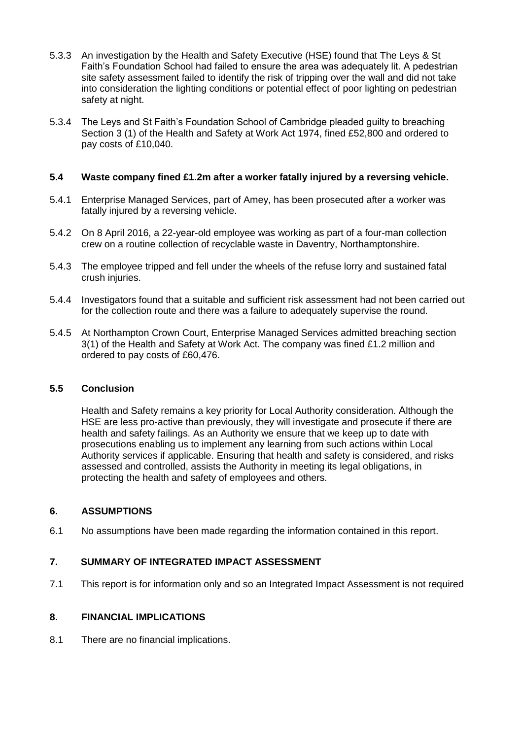- 5.3.3 An investigation by the Health and Safety Executive (HSE) found that The Leys & St Faith's Foundation School had failed to ensure the area was adequately lit. A pedestrian site safety assessment failed to identify the risk of tripping over the wall and did not take into consideration the lighting conditions or potential effect of poor lighting on pedestrian safety at night.
- 5.3.4 The Leys and St Faith's Foundation School of Cambridge pleaded guilty to breaching Section 3 (1) of the Health and Safety at Work Act 1974, fined £52,800 and ordered to pay costs of £10,040.

#### **5.4 Waste company fined £1.2m after a worker fatally injured by a reversing vehicle.**

- 5.4.1 Enterprise Managed Services, part of Amey, has been prosecuted after a worker was fatally injured by a reversing vehicle.
- 5.4.2 On 8 April 2016, a 22-year-old employee was working as part of a four-man collection crew on a routine collection of recyclable waste in Daventry, Northamptonshire.
- 5.4.3 The employee tripped and fell under the wheels of the refuse lorry and sustained fatal crush injuries.
- 5.4.4 Investigators found that a suitable and sufficient risk assessment had not been carried out for the collection route and there was a failure to adequately supervise the round.
- 5.4.5 At Northampton Crown Court, Enterprise Managed Services admitted breaching section 3(1) of the Health and Safety at Work Act. The company was fined £1.2 million and ordered to pay costs of £60,476.

#### **5.5 Conclusion**

Health and Safety remains a key priority for Local Authority consideration. Although the HSE are less pro-active than previously, they will investigate and prosecute if there are health and safety failings. As an Authority we ensure that we keep up to date with prosecutions enabling us to implement any learning from such actions within Local Authority services if applicable. Ensuring that health and safety is considered, and risks assessed and controlled, assists the Authority in meeting its legal obligations, in protecting the health and safety of employees and others.

#### **6. ASSUMPTIONS**

6.1 No assumptions have been made regarding the information contained in this report.

## **7. SUMMARY OF INTEGRATED IMPACT ASSESSMENT**

7.1 This report is for information only and so an Integrated Impact Assessment is not required

#### **8. FINANCIAL IMPLICATIONS**

8.1 There are no financial implications.